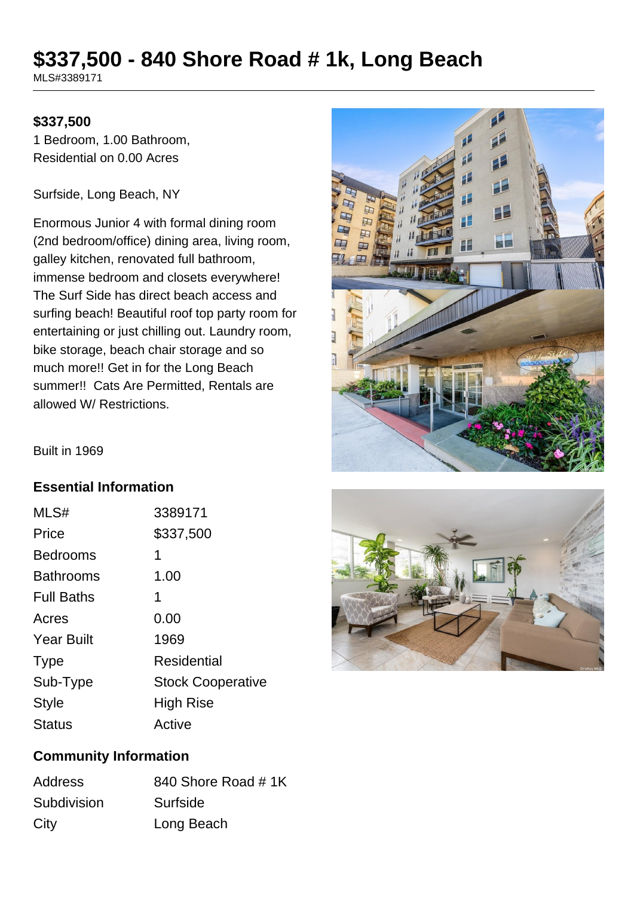# **\$337,500 - 840 Shore Road # 1k, Long Beach**

MLS#3389171

#### **\$337,500**

1 Bedroom, 1.00 Bathroom, Residential on 0.00 Acres

Surfside, Long Beach, NY

Enormous Junior 4 with formal dining room (2nd bedroom/office) dining area, living room, galley kitchen, renovated full bathroom, immense bedroom and closets everywhere! The Surf Side has direct beach access and surfing beach! Beautiful roof top party room for entertaining or just chilling out. Laundry room, bike storage, beach chair storage and so much more!! Get in for the Long Beach summer!! Cats Are Permitted, Rentals are allowed W/ Restrictions.



Built in 1969

#### **Essential Information**

| MLS#              | 3389171                  |
|-------------------|--------------------------|
| Price             | \$337,500                |
| <b>Bedrooms</b>   | 1                        |
| <b>Bathrooms</b>  | 1.00                     |
| <b>Full Baths</b> | 1                        |
| Acres             | 0.00                     |
| <b>Year Built</b> | 1969                     |
| <b>Type</b>       | Residential              |
| Sub-Type          | <b>Stock Cooperative</b> |
| <b>Style</b>      | High Rise                |
| <b>Status</b>     | Active                   |



## **Community Information**

| <b>Address</b> | 840 Shore Road #1K |
|----------------|--------------------|
| Subdivision    | Surfside           |
| City           | Long Beach         |